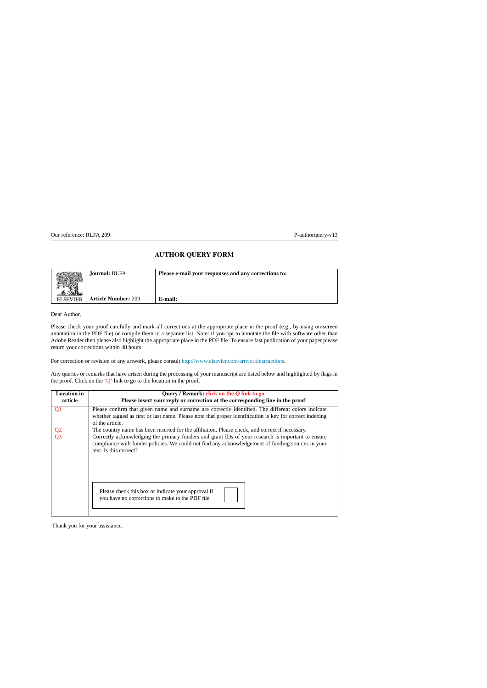## **AUTHOR QUERY FORM**

<span id="page-0-2"></span>

|                 | <b>Journal: RLFA</b>       | Please e-mail your responses and any corrections to: |
|-----------------|----------------------------|------------------------------------------------------|
| <b>ELSEVIER</b> | <b>Article Number: 209</b> | E-mail:                                              |

Dear Author,

<span id="page-0-0"></span>Please check your proof carefully and mark all corrections at the appropriate place in the proof (e.g., by using on-screen annotation in the PDF file) or compile them in a separate list. Note: if you opt to annotate the file with software other than Adobe Reader then please also highlight the appropriate place in the PDF file. To ensure fast publication of your paper please return your corrections within 48 hours.

<span id="page-0-1"></span>For correction or revision of any artwork, please consult [http://www.elsevier.com/artworkinstructions.](http://www.elsevier.com/artworkinstructions)

Any queries or remarks that have arisen during the processing of your manuscript are listed below and highlighted by flags in the proof. Click on the 'Q' link to go to the location in the proof.

| <b>Location</b> in | Query / Remark: click on the Q link to go                                                                                                                                                                                         |  |  |
|--------------------|-----------------------------------------------------------------------------------------------------------------------------------------------------------------------------------------------------------------------------------|--|--|
| article            | Please insert your reply or correction at the corresponding line in the proof                                                                                                                                                     |  |  |
| Q <sub>1</sub>     | Please confirm that given name and surname are correctly identified. The different colors indicate<br>whether tagged as first or last name. Please note that proper identification is key for correct indexing<br>of the article. |  |  |
|                    | The country name has been inserted for the affiliation. Please check, and correct if necessary.                                                                                                                                   |  |  |
| $rac{Q2}{Q3}$      | Correctly acknowledging the primary funders and grant IDs of your research is important to ensure<br>compliance with funder policies. We could not find any acknowledgement of funding sources in your<br>text. Is this correct?  |  |  |
|                    | Please check this box or indicate your approval if<br>you have no corrections to make to the PDF file                                                                                                                             |  |  |

Thank you for your assistance.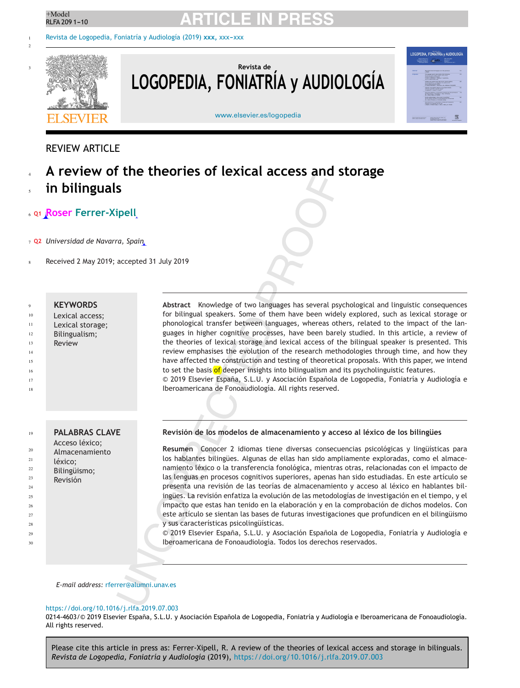3

## <sup>+Model</sup> **ARTICLE IN PRESS**

[Revista de Logopedia, Foniatría y Audiología \(2019\)](https://doi.org/10.1016/j.rlfa.2019.07.003) xxx, xxx-xxx



## **Revista de LOGOPEDIA, FONIATRÍA y AUDIOLOGÍA**



[www.elsevier.es/logopedia](http://www.elsevier.es/logopedia)

## REVIEW ARTICLE

**A review of the theories of lexical access and storage in bilinguals** 4 5

## **[Q1](#page-0-0) Roser Ferrer-Xipell** 6

- **[Q2](#page-0-1)** *Universidad de Navarra, Spain* 7
- Received 2 May 2019; accepted 31 July 2019 8

#### <span id="page-1-0"></span>**KEYWORDS** 9

- Lexical access; 10
- <span id="page-1-1"></span>Lexical storage; 11
- Bilingualism; 12
- Review 13
- 14
- 15
- 16

17

18

 $24$ 25

29 30

**PALABRAS CLAVE** Acceso léxico; Almacenamiento léxico; Bilingüismo; Revisión 19  $20$ 21 22 23 26 27 28

### **Revisión de los modelos de almacenamiento y acceso al léxico de los bilingües**

to set the basis of deeper insights into bilingualism and its psycholinguistic features.

Iberoamericana de Fonoaudiología. All rights reserved.

**Resumen** Conocer 2 idiomas tiene diversas consecuencias psicológicas y lingüísticas para los hablantes bilingües. Algunas de ellas han sido ampliamente exploradas, como el almacenamiento léxico o la transferencia fonológica, mientras otras, relacionadas con el impacto de las lenguas en procesos cognitivos superiores, apenas han sido estudiadas. En este artículo se presenta una revisión de las teorías de almacenamiento y acceso al léxico en hablantes bilingües. La revisión enfatiza la evolución de las metodologías de investigación en el tiempo, y el impacto que estas han tenido en la elaboración y en la comprobación de dichos modelos. Con este artículo se sientan las bases de futuras investigaciones que profundicen en el bilingüismo y sus características psicolingüísticas.

**Abstract** Knowledge of two languages has several psychological and linguistic consequences for bilingual speakers. Some of them have been widely explored, such as lexical storage or phonological transfer between languages, whereas others, related to the impact of the languages in higher cognitive processes, have been barely studied. In this article, a review of the theories of lexical storage and lexical access of the bilingual speaker is presented. This review emphasises the evolution of the research methodologies through time, and how they have affected the construction and testing of theoretical proposals. With this paper, we intend

© 2019 Elsevier España, S.L.U. y Asociación Española de Logopedia, Foniatría y Audiología e

© 2019 Elsevier España, S.L.U. y Asociación Española de Logopedia, Foniatría y Audiología e Iberoamericana de Fonoaudiología. Todos los derechos reservados.

### *E-mail address:* [rferrer@alumni.unav.es](mailto:rferrer@alumni.unav.es)

### <https://doi.org/10.1016/j.rlfa.2019.07.003>

0214-4603/© 2019 Elsevier España, S.L.U. y Asociación Española de Logopedia, Foniatría y Audiología e Iberoamericana de Fonoaudiología. All rights reserved.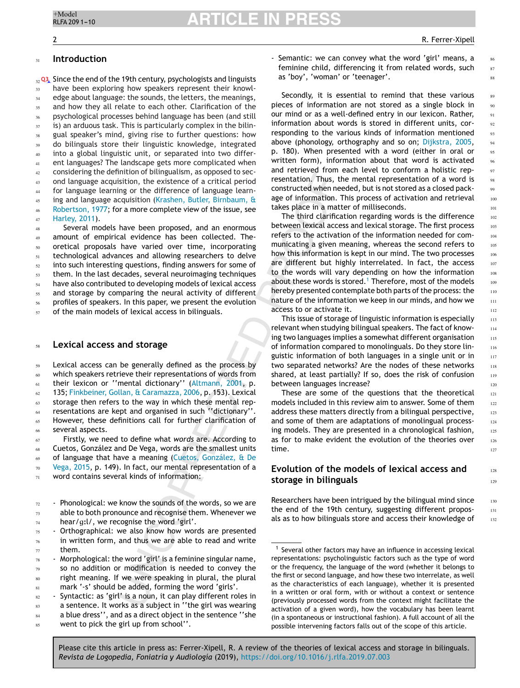86 87 88

> 128 129

130 131 132

#### **Introduction** 31

 $_{\scriptscriptstyle{32}}$  [Q3](#page-0-2), Since the end of the 19th century, psychologists and linguists have been exploring how speakers represent their knowledge about language: the sounds, the letters, the meanings, and how they all relate to each other. Clarification of the psychological processes behind language has been (and still is) an arduous task. This is particularly complex in the bilingual speaker's mind, giving rise to further questions: how do bilinguals store their linguistic knowledge, integrated into a global linguistic unit, or separated into two different languages? The landscape gets more complicated when considering the definition of bilingualism, as opposed to second language acquisition, the existence of a critical period for language learning or the difference of language learning and language acquisition ([Krashen, Butler, Birnbaum, &](#page-9-0) [Robertson, 1977;](#page-9-0) for a more complete view of the issue, see [Harley, 2011\).](#page-9-0) 33 34 35 36 37 38 <sub>20</sub>  $40$ 41  $42$ 43 44 45 46 47

Several models have been proposed, and an enormous amount of empirical evidence has been collected. Theoretical proposals have varied over time, incorporating technological advances and allowing researchers to delve into such interesting questions, finding answers for some of them. In the last decades, several neuroimaging techniques have also contributed to developing models of lexical access and storage by comparing the neural activity of different profiles of speakers. In this paper, we present the evolution of the main models of lexical access in bilinguals. 48 49 50 51 52 53 54 55 56 57

#### <span id="page-2-0"></span>**Lexical access and storage** 58

Lexical access can be generally defined as the process by which speakers retrieve their representations of words from their lexicon or ''mental dictionary'' [\(Altmann, 2001,](#page-8-0) p. 135; [Finkbeiner, Gollan, & Caramazza, 2006, p](#page-9-0). 153). Lexical storage then refers to the way in which these mental representations are kept and organised in such ''dictionary''. However, these definitions call for further clarification of several aspects. 59 60 61 62 63 64 65 66

Firstly, we need to define what *words* are. According to Cuetos, González and De Vega, words are the smallest units of language that have a meaning ([Cuetos, González, & De](#page-9-0) [Vega, 2015,](#page-9-0) p. 149). In fact, our mental representation of a word contains several kinds of information: 67 68 69 70 71

- Phonological: we know the sounds of the words, so we are able to both pronounce and recognise them. Whenever we hear/g:l/, we recognise the word 'girl'. 72 73 74

- Semantic: we can convey what the word 'girl' means, a feminine child, differencing it from related words, such as 'boy', 'woman' or 'teenager'.

Secondly, it is essential to remind that these various pieces of information are not stored as a single block in our mind or as a well-defined entry in our lexicon. Rather, information about words is stored in different units, corresponding to the various kinds of information mentioned above (phonology, orthography and so on; [Dijkstra, 2005,](#page-9-0) p. 180). When presented with a word (either in oral or written form), information about that word is activated and retrieved from each level to conform a holistic representation. Thus, the mental representation of a word is constructed when needed, but is not stored as a closed package of information. This process of activation and retrieval takes place in a matter of milliseconds.

The third clarification regarding words is the difference between lexical access and lexical storage. The first process refers to the activation of the information needed for communicating a given meaning, whereas the second refers to how this information is kept in our mind. The two processes are different but highly interrelated. In fact, the access to the words will vary depending on how the information about these words is stored.<sup>1</sup> Therefore, most of the models hereby presented contemplate both parts of the process: the nature of the information we keep in our minds, and how we access to or activate it.

This issue of storage of linguistic information is especially relevant when studying bilingual speakers. The fact of knowing two languages implies a somewhat different organisation of information compared to monolinguals. Do they store linguistic information of both languages in a single unit or in two separated networks? Are the nodes of these networks shared, at least partially? If so, does the risk of confusion between languages increase?

These are some of the questions that the theoretical models included in this review aim to answer. Some of them address these matters directly from a bilingual perspective, and some of them are adaptations of monolingual processing models. They are presented in a chronological fashion, as for to make evident the evolution of the theories over time.

## **Evolution of the models of lexical access and storage in bilinguals**

Researchers have been intrigued by the bilingual mind since the end of the 19th century, suggesting different proposals as to how bilinguals store and access their knowledge of

Orthographical: we also know how words are presented in written form, and thus we are able to read and write them. 75 76 77

<sup>-</sup> Morphological: the word 'girl' is a feminine singular name, so no addition or modification is needed to convey the right meaning. If we were speaking in plural, the plural mark '-s' should be added, forming the word 'girls'. 78 79 80 81

<sup>-</sup> Syntactic: as 'girl' is a noun, it can play different roles in a sentence. It works as a subject in ''the girl was wearing a blue dress'', and as a direct object in the sentence ''she went to pick the girl up from school''. 82 83 84 85

<sup>1</sup> Several other factors may have an influence in accessing lexical representations: psycholinguistic factors such as the type of word or the frequency, the language of the word (whether it belongs to the first or second language, and how these two interrelate, as well as the characteristics of each language), whether it is presented in a written or oral form, with or without a context or sentence (previously processed words from the context might facilitate the activation of a given word), how the vocabulary has been learnt (in a spontaneous or instructional fashion). A full account of all the possible intervening factors falls out of the scope of this article.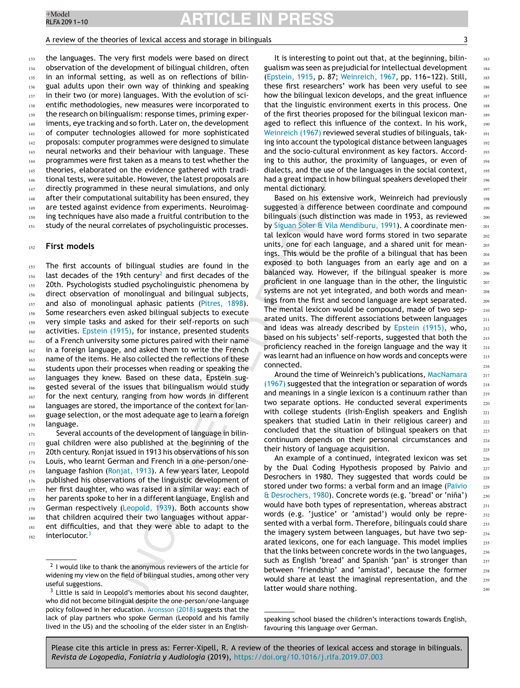## A review of the theories of lexical access and storage in bilinguals 3

the languages. The very first models were based on direct observation of the development of bilingual children, often in an informal setting, as well as on reflections of bilingual adults upon their own way of thinking and speaking in their two (or more) languages. With the evolution of scientific methodologies, new measures were incorporated to the research on bilingualism: response times, priming experiments, eye tracking and so forth. Later on, the development of computer technologies allowed for more sophisticated proposals: computer programmes were designed to simulate neural networks and their behaviour with language. These programmes were first taken as a means to test whether the theories, elaborated on the evidence gathered with traditional tests, were suitable. However, the latest proposals are directly programmed in these neural simulations, and only after their computational suitability has been ensured, they are tested against evidence from experiments. Neuroimaging techniques have also made a fruitful contribution to the study of the neural correlates of psycholinguistic processes. 133 134 135 136 137 138 139 140 141 142 143 144 145 146 147 148 149 150 151

#### **First models** 152

The first accounts of bilingual studies are found in the last decades of the 19th century<sup>2</sup> and first decades of the 20th. Psychologists studied psycholinguistic phenomena by direct observation of monolingual and bilingual subjects, and also of monolingual aphasic patients [\(Pitres, 1898\).](#page-9-0) Some researchers even asked bilingual subjects to execute very simple tasks and asked for their self-reports on such activities. [Epstein \(1915\),](#page-9-0) for instance, presented students of a French university some pictures paired with their name in a foreign language, and asked them to write the French name of the items. He also collected the reflections of these students upon their processes when reading or speaking the languages they knew. Based on these data, Epstein suggested several of the issues that bilingualism would study for the next century, ranging from how words in different languages are stored, the importance of the context for language selection, or the most adequate age to learn a foreign language. 153 154 155 156 157 158 159 160 161 162 163 164 165 166 167 168 169 170

Several accounts of the development of language in bilingual children were also published at the beginning of the 20th century. Ronjat issued in 1913 his observations of his son Louis, who learnt German and French in a one-person/one-language fashion ([Ronjat, 1913\).](#page-9-0) A few years later, Leopold published his observations of the linguistic development of her first daughter, who was raised in a similar way: each of her parents spoke to her in a different language, English and German respectively [\(Leopold, 1939\).](#page-9-0) Both accounts show that children acquired their two languages without apparent difficulties, and that they were able to adapt to the interlocutor.<sup>3</sup> 171 172 173 174 175 176 177 178 179 180 181 182

It is interesting to point out that, at the beginning, bilingualism was seen as prejudicial for intellectual development ([Epstein, 1915,](#page-9-0) p. 87; [Weinreich, 1967,](#page-10-0) pp. 116-122). Still, these first researchers' work has been very useful to see how the bilingual lexicon develops, and the great influence that the linguistic environment exerts in this process. One of the first theories proposed for the bilingual lexicon managed to reflect this influence of the context. In his work, [Weinreich \(1967\)](#page-10-0) reviewed several studies of bilinguals, taking into account the typological distance between languages and the socio-cultural environment as key factors. According to this author, the proximity of languages, or even of dialects, and the use of the languages in the social context, had a great impact in how bilingual speakers developed their mental dictionary.

Based on his extensive work, Weinreich had previously suggested a difference between coordinate and compound bilinguals (such distinction was made in 1953, as reviewed by [Siguan Soler & Vila Mendiburu, 1991\).](#page-10-0) A coordinate mental lexicon would have word forms stored in two separate units, one for each language, and a shared unit for meanings. This would be the profile of a bilingual that has been exposed to both languages from an early age and on a balanced way. However, if the bilingual speaker is more proficient in one language than in the other, the linguistic systems are not yet integrated, and both words and meanings from the first and second language are kept separated. The mental lexicon would be compound, made of two separated units. The different associations between languages and ideas was already described by [Epstein \(1915\),](#page-9-0) who, based on his subjects' self-reports, suggested that both the proficiency reached in the foreign language and the way it was learnt had an influence on how words and concepts were connected.

Around the time of Weinreich's publications, [MacNamara](#page-9-0) [\(1967\)](#page-9-0) suggested that the integration or separation of words and meanings in a single lexicon is a continuum rather than two separate options. He conducted several experiments with college students (Irish-English speakers and English speakers that studied Latin in their religious career) and concluded that the situation of bilingual speakers on that continuum depends on their personal circumstances and their history of language acquisition.

An example of a continued, integrated lexicon was set by the Dual Coding Hypothesis proposed by Paivio and Desrochers in 1980. They suggested that words could be stored under two forms: a verbal form and an image [\(Paivio](#page-9-0) [& Desrochers, 1980\).](#page-9-0) Concrete words (e.g. 'bread' or 'nina') ˜ would have both types of representation, whereas abstract words (e.g. 'justice' or 'amistad') would only be represented with a verbal form. Therefore, bilinguals could share the imagery system between languages, but have two separated lexicons, one for each language. This model implies that the links between concrete words in the two languages, such as English 'bread' and Spanish 'pan' is stronger than between 'friendship' and 'amistad', because the former would share at least the imaginal representation, and the latter would share nothing.

<sup>&</sup>lt;sup>2</sup> I would like to thank the anonymous reviewers of the article for widening my view on the field of bilingual studies, among other very useful suggestions.

 $3$  Little is said in Leopold's memories about his second daughter, who did not become bilingual despite the one-person/one-language policy followed in her education. [Aronsson \(2018\)](#page-8-0) suggests that the lack of play partners who spoke German (Leopold and his family lived in the US) and the schooling of the elder sister in an English-

speaking school biased the children's interactions towards English, favouring this language over German.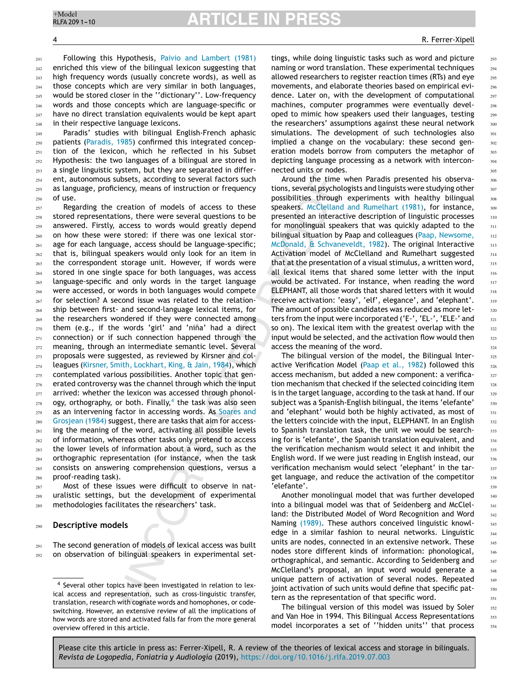# **ARTICLE IN**

### **4 R. Ferrer-Xipell**

Following this Hypothesis, [Paivio and Lambert \(1981\)](#page-9-0) enriched this view of the bilingual lexicon suggesting that high frequency words (usually concrete words), as well as those concepts which are very similar in both languages, would be stored closer in the ''dictionary''. Low-frequency words and those concepts which are language-specific or have no direct translation equivalents would be kept apart in their respective language lexicons.  $241$  $242$ 243  $244$ 245 246 247 248

Paradis' studies with bilingual English-French aphasic patients [\(Paradis, 1985\)](#page-9-0) confirmed this integrated conception of the lexicon, which he reflected in his Subset Hypothesis: the two languages of a bilingual are stored in a single linguistic system, but they are separated in different, autonomous subsets, according to several factors such as language, proficiency, means of instruction or frequency of use. 249 250 251 252 253 254 255  $256$ 

Regarding the creation of models of access to these stored representations, there were several questions to be answered. Firstly, access to words would greatly depend on how these were stored: if there was one lexical storage for each language, access should be language-specific; that is, bilingual speakers would only look for an item in the correspondent storage unit. However, if words were stored in one single space for both languages, was access language-specific and only words in the target language were accessed, or words in both languages would compete for selection? A second issue was related to the relationship between first- and second-language lexical items, for the researchers wondered if they were connected among them (e.g., if the words 'girl' and 'niña' had a direct connection) or if such connection happened through the meaning, through an intermediate semantic level. Several proposals were suggested, as reviewed by Kirsner and colleagues [\(Kirsner, Smith, Lockhart, King, & Jain, 1984\),](#page-9-0) which contemplated various possibilities. Another topic that generated controversy was the channel through which the input arrived: whether the lexicon was accessed through phonology, orthography, or both. Finally, $4$  the task was also seen as an intervening factor in accessing words. As [Soares and](#page-10-0) [Grosjean \(1984\)](#page-10-0) suggest, there are tasks that aim for accessing the meaning of the word, activating all possible levels of information, whereas other tasks only pretend to access the lower levels of information about a word, such as the orthographic representation (for instance, when the task consists on answering comprehension questions, versus a proof-reading task).  $257$  $258$ 259 260 261 262 263 264 265 266 267 268 269 270 271 272 273 274 275 276 277 278 279 280 281 282 283 284 285  $286$ 

Most of these issues were difficult to observe in naturalistic settings, but the development of experimental methodologies facilitates the researchers' task. 287 288 289

#### **Descriptive models**  $290$

The second generation of models of lexical access was built on observation of bilingual speakers in experimental set-291 292

tings, while doing linguistic tasks such as word and picture naming or word translation. These experimental techniques allowed researchers to register reaction times (RTs) and eye movements, and elaborate theories based on empirical evidence. Later on, with the development of computational machines, computer programmes were eventually developed to mimic how speakers used their languages, testing the researchers' assumptions against these neural network simulations. The development of such technologies also implied a change on the vocabulary: these second generation models borrow from computers the metaphor of depicting language processing as a network with interconnected units or nodes.

Around the time when Paradis presented his observations, several psychologists and linguists were studying other possibilities through experiments with healthy bilingual speakers. [McClelland and Rumelhart \(1981\),](#page-9-0) for instance, presented an interactive description of linguistic processes for monolingual speakers that was quickly adapted to the bilingual situation by Paap and colleagues ([Paap, Newsome,](#page-9-0) [McDonald, & Schvaneveldt, 1982\).](#page-9-0) The original Interactive Activation model of McClelland and Rumelhart suggested that at the presentation of a visual stimulus, a written word, all lexical items that shared some letter with the input would be activated. For instance, when reading the word ELEPHANT, all those words that shared letters with it would receive activation: 'easy', 'elf', elegance', and 'elephant'. The amount of possible candidates was reduced as more letters from the input were incorporated ('E-', 'EL-', 'ELE-' and so on). The lexical item with the greatest overlap with the input would be selected, and the activation flow would then access the meaning of the word.

The bilingual version of the model, the Bilingual Inter-active Verification Model [\(Paap et al., 1982\)](#page-9-0) followed this access mechanism, but added a new component: a verification mechanism that checked if the selected coinciding item is in the target language, according to the task at hand. If our subject was a Spanish-English bilingual, the items 'elefante' and 'elephant' would both be highly activated, as most of the letters coincide with the input, ELEPHANT. In an English to Spanish translation task, the unit we would be searching for is 'elefante', the Spanish translation equivalent, and the verification mechanism would select it and inhibit the English word. If we were just reading in English instead, our verification mechanism would select 'elephant' in the target language, and reduce the activation of the competitor 'elefante'.

Another monolingual model that was further developed into a bilingual model was that of Seidenberg and McClelland: the Distributed Model of Word Recognition and Word Naming [\(1989\).](#page-9-0) These authors conceived linguistic knowledge in a similar fashion to neural networks. Linguistic units are nodes, connected in an extensive network. These nodes store different kinds of information: phonological, orthographical, and semantic. According to Seidenberg and McClelland's proposal, an input word would generate a unique pattern of activation of several nodes. Repeated joint activation of such units would define that specific pattern as the representation of that specific word.

The bilingual version of this model was issued by Soler and Van Hoe in 1994. This Bilingual Access Representations model incorporates a set of ''hidden units'' that process

<sup>4</sup> Several other topics have been investigated in relation to lexical access and representation, such as cross-linguistic transfer, translation, research with cognate words and homophones, or codeswitching. However, an extensive review of all the implications of how words are stored and activated falls far from the more general overview offered in this article.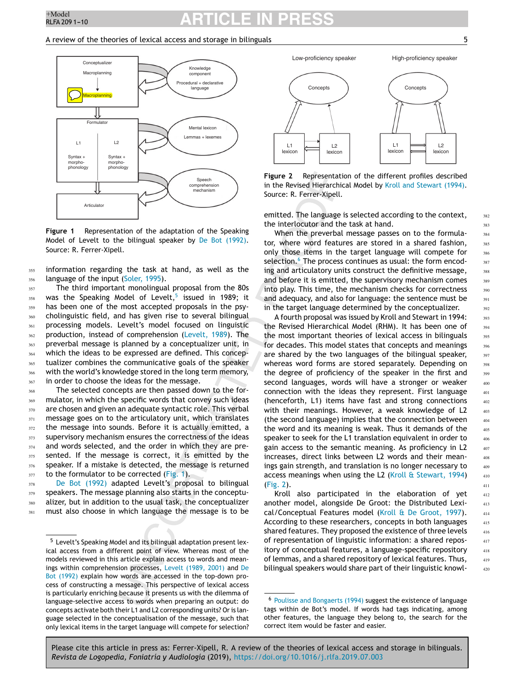## <sup>+Model</sup> **ARTICLE IN PRESS**

### A review of the theories of lexical access and storage in bilinguals  $\overline{5}$



**Figure 1** Representation of the adaptation of the Speaking Model of Levelt to the bilingual speaker by [De Bot \(1992\).](#page-9-0) Source: R. Ferrer-Xipell.

information regarding the task at hand, as well as the language of the input ([Soler, 1995\).](#page-10-0)

The third important monolingual proposal from the 80s was the Speaking Model of Levelt, $5$  issued in 1989; it has been one of the most accepted proposals in the psycholinguistic field, and has given rise to several bilingual processing models. Levelt's model focused on linguistic production, instead of comprehension ([Levelt, 1989\).](#page-9-0) The preverbal message is planned by a conceptualizer unit, in which the ideas to be expressed are defined. This conceptualizer combines the communicative goals of the speaker with the world's knowledge stored in the long term memory, in order to choose the ideas for the message. 357 358 359 360 361 362 363 364 365 366 367

The selected concepts are then passed down to the formulator, in which the specific words that convey such ideas are chosen and given an adequate syntactic role. This verbal message goes on to the articulatory unit, which translates the message into sounds. Before it is actually emitted, a supervisory mechanism ensures the correctness of the ideas and words selected, and the order in which they are presented. If the message is correct, it is emitted by the speaker. If a mistake is detected, the message is returned to the formulator to be corrected (Fig. 1). 368 369 370 371 372 373 374 375 376 377

[De Bot \(1992\)](#page-9-0) adapted Levelt's proposal to bilingual speakers. The message planning also starts in the conceptualizer, but in addition to the usual task, the conceptualizer must also choose in which language the message is to be 378 379 380 381



**Figure 2** Representation of the different profiles described in the Revised Hierarchical Model by [Kroll and Stewart \(1994\).](#page-9-0) Source: R. Ferrer-Xipell.

emitted. The language is selected according to the context, the interlocutor and the task at hand.

When the preverbal message passes on to the formulator, where word features are stored in a shared fashion, only those items in the target language will compete for selection.<sup>6</sup> The process continues as usual: the form encoding and articulatory units construct the definitive message, and before it is emitted, the supervisory mechanism comes into play. This time, the mechanism checks for correctness and adequacy, and also for language: the sentence must be in the target language determined by the conceptualizer.

A fourth proposal was issued by Kroll and Stewart in 1994: the Revised Hierarchical Model (RHM). It has been one of the most important theories of lexical access in bilinguals for decades. This model states that concepts and meanings are shared by the two languages of the bilingual speaker, whereas word forms are stored separately. Depending on the degree of proficiency of the speaker in the first and second languages, words will have a stronger or weaker connection with the ideas they represent. First language (henceforth, L1) items have fast and strong connections with their meanings. However, a weak knowledge of L2 (the second language) implies that the connection between the word and its meaning is weak. Thus it demands of the speaker to seek for the L1 translation equivalent in order to gain access to the semantic meaning. As proficiency in L2 increases, direct links between L2 words and their meanings gain strength, and translation is no longer necessary to access meanings when using the L2 [\(Kroll & Stewart, 1994\)](#page-9-0) (Fig. 2).

Kroll also participated in the elaboration of yet another model, alongside De Groot: the Distributed Lexical/Conceptual Features model ([Kroll & De Groot, 1997\).](#page-9-0) According to these researchers, concepts in both languages shared features. They proposed the existence of three levels of representation of linguistic information: a shared repository of conceptual features, a language-specific repository of lemmas, and a shared repository of lexical features. Thus, bilingual speakers would share part of their linguistic knowl382

<sup>5</sup> Levelt's Speaking Model and its bilingual adaptation present lexical access from a different point of view. Whereas most of the models reviewed in this article explain access to words and meanings within comprehension processes, [Levelt \(1989, 2001\)](#page-9-0) and [De](#page-9-0) [Bot \(1992\)](#page-9-0) explain how words are accessed in the top-down process of constructing a message. This perspective of lexical access is particularly enriching because it presents us with the dilemma of language-selective access to words when preparing an output: do concepts activate both their L1 and L2 corresponding units? Or is language selected in the conceptualisation of the message, such that only lexical items in the target language will compete for selection?

<sup>6</sup> [Poulisse and Bongaerts \(1994\)](#page-9-0) suggest the existence of language tags within de Bot's model. If words had tags indicating, among other features, the language they belong to, the search for the correct item would be faster and easier.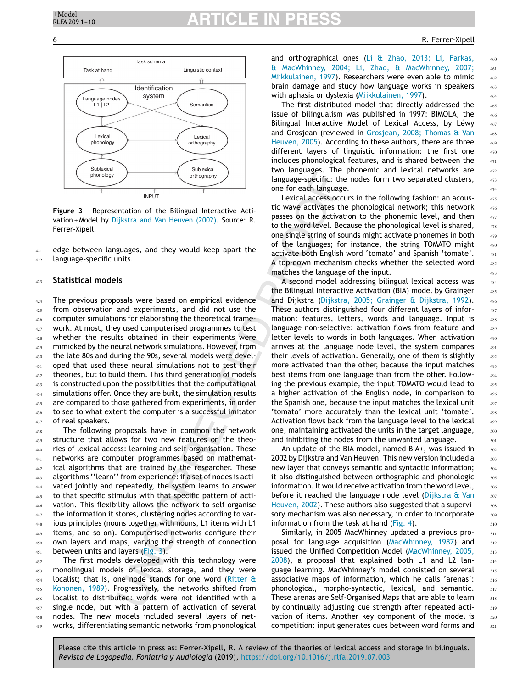

**Figure 3** Representation of the Bilingual Interactive Activation + Model by [Dijkstra and Van Heuven \(2002\).](#page-9-0) Source: R. Ferrer-Xipell.

edge between languages, and they would keep apart the language-specific units. 421  $422$ 

#### **Statistical models** 423

The previous proposals were based on empirical evidence from observation and experiments, and did not use the computer simulations for elaborating the theoretical framework. At most, they used computerised programmes to test whether the results obtained in their experiments were mimicked by the neural network simulations. However, from the late 80s and during the 90s, several models were developed that used these neural simulations not to test their theories, but to build them. This third generation of models is constructed upon the possibilities that the computational simulations offer. Once they are built, the simulation results are compared to those gathered from experiments, in order to see to what extent the computer is a successful imitator of real speakers. 424 425 426 427  $428$ 429 430 431 432 433 434 435 436 437

The following proposals have in common the network structure that allows for two new features on the theories of lexical access: learning and self-organisation. These networks are computer programmes based on mathematical algorithms that are trained by the researcher. These algorithms ''learn'' from experience: if a set of nodes is activated jointly and repeatedly, the system learns to answer to that specific stimulus with that specific pattern of activation. This flexibility allows the network to self-organise the information it stores, clustering nodes according to various principles (nouns together with nouns, L1 items with L1 items, and so on). Computerised networks configure their own layers and maps, varying the strength of connection between units and layers (Fig. 3). 438 439 440 441 442 443 444 445 446 447 448 449 450 451

The first models developed with this technology were monolingual models of lexical storage, and they were localist; that is, one node stands for one word [\(Ritter &](#page-9-0) [Kohonen, 1989\).](#page-9-0) Progressively, the networks shifted from localist to distributed: words were not identified with a single node, but with a pattern of activation of several nodes. The new models included several layers of networks, differentiating semantic networks from phonological 452 453 454 455 456 457 458 459

and orthographical ones [\(Li & Zhao, 2013; Li, Farkas,](#page-9-0) [& MacWhinney, 2004; Li, Zhao, & MacWhinney, 2007;](#page-9-0) [Miikkulainen, 1997\).](#page-9-0) Researchers were even able to mimic brain damage and study how language works in speakers with aphasia or dyslexia ([Miikkulainen, 1997\).](#page-9-0)

The first distributed model that directly addressed the issue of bilingualism was published in 1997: BIMOLA, the Bilingual Interactive Model of Lexical Access, by Léwy and Grosjean (reviewed in [Grosjean, 2008; Thomas & Van](#page-9-0) [Heuven, 2005\).](#page-9-0) According to these authors, there are three different layers of linguistic information: the first one includes phonological features, and is shared between the two languages. The phonemic and lexical networks are language-specific: the nodes form two separated clusters, one for each language.

Lexical access occurs in the following fashion: an acoustic wave activates the phonological network; this network passes on the activation to the phonemic level, and then to the word level. Because the phonological level is shared, one single string of sounds might activate phonemes in both of the languages; for instance, the string TOMATO might activate both English word 'tomato' and Spanish 'tomate'. A top-down mechanism checks whether the selected word matches the language of the input.

A second model addressing bilingual lexical access was the Bilingual Interactive Activation (BIA) model by Grainger and Dijkstra [\(Dijkstra, 2005; Grainger & Dijkstra, 1992\).](#page-9-0) These authors distinguished four different layers of information: features, letters, words and language. Input is language non-selective: activation flows from feature and letter levels to words in both languages. When activation arrives at the language node level, the system compares their levels of activation. Generally, one of them is slightly more activated than the other, because the input matches best items from one language than from the other. Following the previous example, the input TOMATO would lead to a higher activation of the English node, in comparison to the Spanish one, because the input matches the lexical unit 'tomato' more accurately than the lexical unit 'tomate'. Activation flows back from the language level to the lexical one, maintaining activated the units in the target language, and inhibiting the nodes from the unwanted language.

An update of the BIA model, named BIA+, was issued in 2002 by Dijkstra and Van Heuven. This new version included a new layer that conveys semantic and syntactic information; it also distinguished between orthographic and phonologic information. It would receive activation from the word level, before it reached the language node level [\(Dijkstra & Van](#page-9-0) [Heuven, 2002\).](#page-9-0) These authors also suggested that a supervisory mechanism was also necessary, in order to incorporate information from the task at hand [\(Fig. 4\).](#page-7-0)

Similarly, in 2005 MacWhinney updated a previous proposal for language acquisition ([MacWhinney, 1987\)](#page-9-0) and issued the Unified Competition Model [\(MacWhinney, 2005,](#page-9-0) [2008\),](#page-9-0) a proposal that explained both L1 and L2 language learning. MacWhinney's model consisted on several associative maps of information, which he calls 'arenas': phonological, morpho-syntactic, lexical, and semantic. These arenas are Self-Organised Maps that are able to learn by continually adjusting cue strength after repeated activation of items. Another key component of the model is competition: input generates cues between word forms and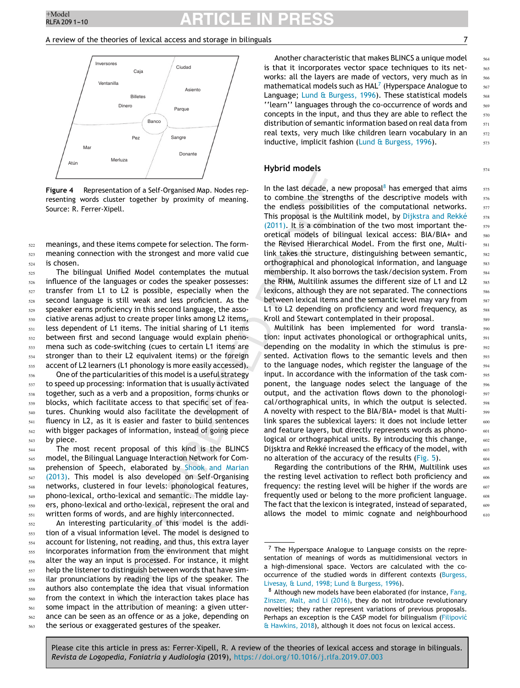### <span id="page-7-0"></span>A review of the theories of lexical access and storage in bilinguals  $\sim$  7



**Figure 4** Representation of a Self-Organised Map. Nodes representing words cluster together by proximity of meaning. Source: R. Ferrer-Xipell.

meanings, and these items compete for selection. The formmeaning connection with the strongest and more valid cue is chosen. 522 523 524

The bilingual Unified Model contemplates the mutual influence of the languages or codes the speaker possesses: transfer from L1 to L2 is possible, especially when the second language is still weak and less proficient. As the speaker earns proficiency in this second language, the associative arenas adjust to create proper links among L2 items, less dependent of L1 items. The initial sharing of L1 items between first and second language would explain phenomena such as code-switching (cues to certain L1 items are stronger than to their L2 equivalent items) or the foreign accent of L2 learners (L1 phonology is more easily accessed). 525 526 527 528 529 530 531 532 533 534 535

One of the particularities of this model is a useful strategy to speed up processing: information that is usually activated together, such as a verb and a proposition, forms chunks or blocks, which facilitate access to that specific set of features. Chunking would also facilitate the development of fluency in L2, as it is easier and faster to build sentences with bigger packages of information, instead of going piece by piece. 536 537 538 539 540 541 542 543

The most recent proposal of this kind is the BLINCS model, the Bilingual Language Interaction Network for Comprehension of Speech, elaborated by [Shook and Marian](#page-10-0) [\(2013\).](#page-10-0) This model is also developed on Self-Organising networks, clustered in four levels: phonological features, phono-lexical, ortho-lexical and semantic. The middle layers, phono-lexical and ortho-lexical, represent the oral and written forms of words, and are highly interconnected. 544 545 546 547 548 549 550 551

An interesting particularity of this model is the addition of a visual information level. The model is designed to account for listening, not reading, and thus, this extra layer incorporates information from the environment that might alter the way an input is processed. For instance, it might help the listener to distinguish between words that have similar pronunciations by reading the lips of the speaker. The authors also contemplate the idea that visual information from the context in which the interaction takes place has some impact in the attribution of meaning: a given utterance can be seen as an offence or as a joke, depending on the serious or exaggerated gestures of the speaker. 552 553 554 555 556 557 558 559 560 561 562 563

Another characteristic that makes BLINCS a unique model is that it incorporates vector space techniques to its networks: all the layers are made of vectors, very much as in mathematical models such as  $HAL<sup>7</sup>$  (Hyperspace Analogue to Language; [Lund & Burgess, 1996\).](#page-9-0) These statistical models ''learn'' languages through the co-occurrence of words and concepts in the input, and thus they are able to reflect the distribution of semantic information based on real data from real texts, very much like children learn vocabulary in an inductive, implicit fashion ([Lund & Burgess, 1996\).](#page-9-0)

### **Hybrid models**

In the last decade, a new proposal<sup>8</sup> has emerged that aims to combine the strengths of the descriptive models with the endless possibilities of the computational networks. This proposal is the Multilink model, by [Dijkstra and Rekké](#page-9-0) [\(2011\).](#page-9-0) It is a combination of the two most important theoretical models of bilingual lexical access: BIA/BIA+ and the Revised Hierarchical Model. From the first one, Multilink takes the structure, distinguishing between semantic, orthographical and phonological information, and language membership. It also borrows the task/decision system. From the RHM, Multilink assumes the different size of L1 and L2 lexicons, although they are not separated. The connections between lexical items and the semantic level may vary from L1 to L2 depending on proficiency and word frequency, as Kroll and Stewart contemplated in their proposal.

Multilink has been implemented for word translation: input activates phonological or orthographical units, depending on the modality in which the stimulus is presented. Activation flows to the semantic levels and then to the language nodes, which register the language of the input. In accordance with the information of the task component, the language nodes select the language of the output, and the activation flows down to the phonological/orthographical units, in which the output is selected. A novelty with respect to the BIA/BIA+ model is that Multilink spares the sublexical layers: it does not include letter and feature layers, but directly represents words as phonological or orthographical units. By introducing this change, Dijsktra and Rekké increased the efficacy of the model, with no alteration of the accuracy of the results [\(Fig. 5\).](#page-8-0)

Regarding the contributions of the RHM, Multilink uses the resting level activation to reflect both proficiency and frequency: the resting level will be higher if the words are frequently used or belong to the more proficient language. The fact that the lexicon is integrated, instead of separated, allows the model to mimic cognate and neighbourhood

Please cite this article in press as: Ferrer-Xipell, R. A review of the theories of lexical access and storage in bilinguals. *Revista de Logopedia, Foniatría y Audiología* (2019), <https://doi.org/10.1016/j.rlfa.2019.07.003>

564 565

571 572 573

574

575 576

<sup>7</sup> The Hyperspace Analogue to Language consists on the representation of meanings of words as multidimensional vectors in a high-dimensional space. Vectors are calculated with the co-occurrence of the studied words in different contexts ([Burgess,](#page-8-0) [Livesay, & Lund, 1998; Lund & Burgess, 1996\).](#page-8-0)

<sup>&</sup>lt;sup>8</sup> Although new models have been elaborated (for instance, [Fang,](#page-9-0) [Zinszer, Malt, and Li \(2016\),](#page-9-0) they do not introduce revolutionary novelties; they rather represent variations of previous proposals. Perhaps an exception is the CASP model for bilingualism (Filipović [& Hawkins, 2018\),](#page-9-0) although it does not focus on lexical access.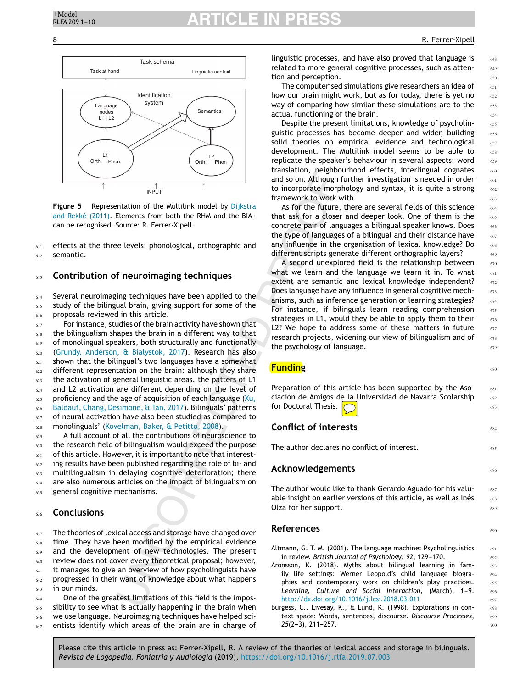680

681 682 683

684

685

686

687 688 689

690

<span id="page-8-0"></span>

**Figure 5** Representation of the Multilink model by [Dijkstra](#page-9-0) [and Rekké \(2011\).](#page-9-0) Elements from both the RHM and the BIA+ can be recognised. Source: R. Ferrer-Xipell.

effects at the three levels: phonological, orthographic and semantic. 611 612

#### **Contribution of neuroimaging techniques** 613

Several neuroimaging techniques have been applied to the study of the bilingual brain, giving support for some of the proposals reviewed in this article. 614 615 616

For instance, studies of the brain activity have shown that the bilingualism shapes the brain in a different way to that of monolingual speakers, both structurally and functionally [\(Grundy, Anderson, & Bialystok, 2017\).](#page-9-0) Research has also shown that the bilingual's two languages have a somewhat different representation on the brain: although they share the activation of general linguistic areas, the patters of L1 and L2 activation are different depending on the level of proficiency and the age of acquisition of each language  $(Xu)$ , [Baldauf, Chang, Desimone, & Tan, 2017\).](#page-10-0) Bilinguals' patterns of neural activation have also been studied as compared to monolinguals' ([Kovelman, Baker, & Petitto, 2008\).](#page-9-0) 617 618 619 620 621 622 623 624 625 626 627 628

A full account of all the contributions of neuroscience to the research field of bilingualism would exceed the purpose of this article. However, it is important to note that interesting results have been published regarding the role of bi- and multilingualism in delaying cognitive deterioration; there are also numerous articles on the impact of bilingualism on general cognitive mechanisms. 629 630 631 632 633 634 635

#### **Conclusions** 636

The theories of lexical access and storage have changed over time. They have been modified by the empirical evidence and the development of new technologies. The present review does not cover every theoretical proposal; however, it manages to give an overview of how psycholinguists have progressed in their want of knowledge about what happens in our minds. 637 638 639 640 641 642 643

One of the greatest limitations of this field is the impossibility to see what is actually happening in the brain when we use language. Neuroimaging techniques have helped scientists identify which areas of the brain are in charge of 644 645 646 647

linguistic processes, and have also proved that language is related to more general cognitive processes, such as attention and perception.

The computerised simulations give researchers an idea of how our brain might work, but as for today, there is yet no way of comparing how similar these simulations are to the actual functioning of the brain.

Despite the present limitations, knowledge of psycholinguistic processes has become deeper and wider, building solid theories on empirical evidence and technological development. The Multilink model seems to be able to replicate the speaker's behaviour in several aspects: word translation, neighbourhood effects, interlingual cognates and so on. Although further investigation is needed in order to incorporate morphology and syntax, it is quite a strong framework to work with.

As for the future, there are several fields of this science that ask for a closer and deeper look. One of them is the concrete pair of languages a bilingual speaker knows. Does the type of languages of a bilingual and their distance have any influence in the organisation of lexical knowledge? Do different scripts generate different orthographic layers?

A second unexplored field is the relationship between what we learn and the language we learn it in. To what extent are semantic and lexical knowledge independent? Does language have any influence in general cognitive mechanisms, such as inference generation or learning strategies? For instance, if bilinguals learn reading comprehension strategies in L1, would they be able to apply them to their L2? We hope to address some of these matters in future research projects, widening our view of bilingualism and of the psychology of language.

**Funding**

Preparation of this article has been supported by the Asociación de Amigos de la Universidad de Navarra Scolarship for Doctoral Thesis.

## **Conflict of interests**

The author declares no conflict of interest.

## **Acknowledgements**

The author would like to thank Gerardo Aguado for his valuable insight on earlier versions of this article, as well as Inés Olza for her support.

## **References**

Altmann, G. T. M. (2001). The language machine: Psycholinguistics in review. British Journal of Psychology, 92, 129-170.

- Aronsson, K. (2018). Myths about bilingual learning in family life settings: Werner Leopold's child language biographies and contemporary work on children's play practices. Learning, Culture and Social Interaction, (March), 1-9. [http://dx.doi.org/10.1016/j.lcsi.2018.03.011](dx.doi.org/10.1016/j.lcsi.2018.03.011)
- Burgess, C., Livesay, K., & Lund, K. (1998). Explorations in context space: Words, sentences, discourse. *Discourse Processes*, 25(2-3), 211-257.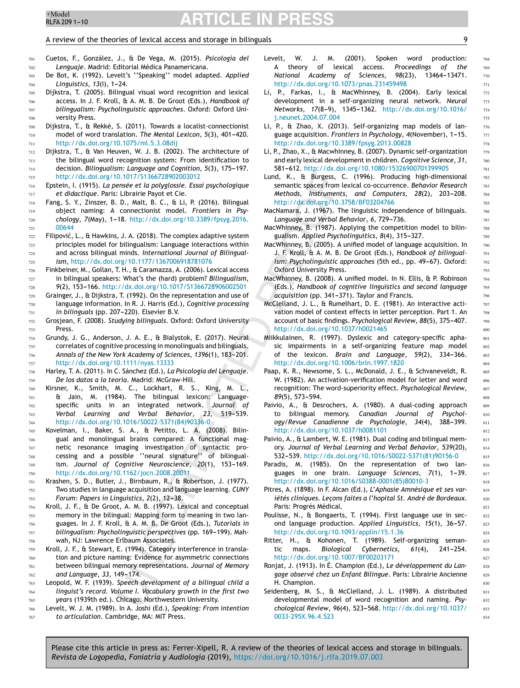733

766 767

# <span id="page-9-0"></span><sup>+Model</sup> **ARTICLE IN PRESS**

### A review of the theories of lexical access and storage in bilinguals  $\overline{9}$

768

Cuetos, F., González, J., & De Vega, M. (2015). *Psicología del Lenguaje*. Madrid: Editorial Médica Panamericana.

- De Bot, K. (1992). Levelt's ''Speaking'' model adapted. *Applied Linguistics*,  $13(1)$ , 1-24.
- Dijkstra, T. (2005). Bilingual visual word recognition and lexical access. In J. F. Kroll, & A. M. B. De Groot (Eds.), *Handbook of bilingualism: Psycholinguistic approaches*. Oxford: Oxford University Press.
- Dijkstra, T., & Rekké, S. (2011). Towards a localist-connectionist model of word translation. The Mental Lexicon, 5(3), 401-420. [http://dx.doi.org/10.1075/ml.5.3.08dij](dx.doi.org/10.1075/ml.5.3.08dij) 709 710 711
- Dijkstra, T., & Van Heuven, W. J. B. (2002). The architecture of the bilingual word recognition system: From identification to decision. *Bilingualism: Language and Cognition*, 5(3), 175-197. [http://dx.doi.org/10.1017/S1366728902003012](dx.doi.org/10.1017/S1366728902003012) 712 713 714 715
- Epstein, I. (1915). *La pensée et la polyglossie. Essai psychologique et didactique*. Paris: Librairie Payot et Cie. 716 717
- Fang, S. Y., Zinszer, B. D., Malt, B. C., & Li, P. (2016). Bilingual object naming: A connectionist model. *Frontiers in Psychology*, *7*(May), 1---18. [http://dx.doi.org/10.3389/fpsyg.2016.](dx.doi.org/10.3389/fpsyg.2016.00644) [00644](dx.doi.org/10.3389/fpsyg.2016.00644) 718 719 720 721
- Filipović, L., & Hawkins, J. A. (2018). The complex adaptive system principles model for bilingualism: Language interactions within and across bilingual minds. *International Journal of Bilingualism*, [http://dx.doi.org/10.1177/1367006918781076](dx.doi.org/10.1177/1367006918781076) 722 723 724 725
- Finkbeiner, M., Gollan, T. H., & Caramazza, A. (2006). Lexical access in bilingual speakers: What's the (hard) problem? *Bilingualism*, 9(2), 153-166. [http://dx.doi.org/10.1017/S1366728906002501](dx.doi.org/10.1017/S1366728906002501) 726 727 728
- Grainger, J., & Dijkstra, T. (1992). On the representation and use of language information. In R. J. Harris (Ed.), *Cognitive processing in bilinguals* (pp. 207-220). Elsevier B.V. 729 730 731
- Grosjean, F. (2008). *Studying bilinguals*. Oxford: Oxford University Press. 732
- Grundy, J. G., Anderson, J. A. E., & Bialystok, E. (2017). Neural correlates of cognitive processing in monolinguals and bilinguals. Annals of the New York Academy of Sciences, 1396(1), 183-201. [http://dx.doi.org/10.1111/nyas.13333](dx.doi.org/10.1111/nyas.13333) 734 735 736 737
- Harley, T. A. (2011). In C. Sánchez (Ed.), *La Psicología del Lenguaje. De los datos a la teoría*. Madrid: McGraw-Hill. 738 739
- Kirsner, K., Smith, M. C., Lockhart, R. S., King, M. L., & Jain, M. (1984). The bilingual lexicon: Languagespecific units in an integrated network. *Journal of Verbal Learning and Verbal Behavior*, 23, 519-539. [http://dx.doi.org/10.1016/S0022-5371\(84\)90336-0](dx.doi.org/10.1016/S0022-5371(84)90336-0) 740 741 742 743 744
- Kovelman, I., Baker, S. A., & Petitto, L. A. (2008). Bilingual and monolingual brains compared: A functional magnetic resonance imaging investigation of syntactic processing and a possible ''neural signature'' of bilingualism. *Journal of Cognitive Neuroscience*, 20(1), 153-169. [http://dx.doi.org/10.1162/jocn.2008.20011](dx.doi.org/10.1162/jocn.2008.20011) 745 746 747 748 749 750
- Krashen, S. D., Butler, J., Birnbaum, R., & Robertson, J. (1977). Two studies in language acquisition and language learning. *CUNY Forum: Papers in Linguistics, 2(2), 12-38.* 751 752 753
- Kroll, J. F., & De Groot, A. M. B. (1997). Lexical and conceptual memory in the bilingual: Mapping form to meaning in two languages. In J. F. Kroll, & A. M. B. De Groot (Eds.), *Tutorials in bilingualism: Psycholinguistic perspectives* (pp. 169-199). Mahwah, NJ: Lawrence Erlbaum Associates. 754 755 756 757 758
- Kroll, J. F., & Stewart, E. (1994). Category interference in translation and picture naming: Evidence for asymmetric connections between bilingual memory representations. *Journal of Memory* and Language, 33, 149-174. 759 760 761 762
- Leopold, W. F. (1939). *Speech development of a bilingual child a linguist's record. Volume I. Vocabulary growth in the first two years* (1939th ed.). Chicago: Northwestern University. 763 764 765
	- Levelt, W. J. M. (1989). In A. Joshi (Ed.), *Speaking: From intention to articulation*. Cambridge, MA: MIT Press.
- Levelt, W. J. M. (2001). Spoken word production: A theory of lexical access. *Proceedings of the National Academy of Sciences, 98(23), 13464-13471.* [http://dx.doi.org/10.1073/pnas.231459498](dx.doi.org/10.1073/pnas.231459498)
- Li, P., Farkas, I., & MacWhinney, B. (2004). Early lexical development in a self-organizing neural network. *Neural Networks*, 17(8-9), 1345-1362. [http://dx.doi.org/10.1016/](dx.doi.org/10.1016/j.neunet.2004.07.004) [j.neunet.2004.07.004](dx.doi.org/10.1016/j.neunet.2004.07.004)
- Li, P., & Zhao, X. (2013). Self-organizing map models of language acquisition. *Frontiers in Psychology*, 4(November), 1-15. [http://dx.doi.org/10.3389/fpsyg.2013.00828](dx.doi.org/10.3389/fpsyg.2013.00828)
- Li, P., Zhao, X., & Macwhinney, B. (2007). Dynamic self-organization and early lexical development in children. *Cognitive Science*, *31*, 581-612. [http://dx.doi.org/10.1080/15326900701399905](dx.doi.org/10.1080/15326900701399905)
- Lund, K., & Burgess, C. (1996). Producing high-dimensional semantic spaces from lexical co-occurrence. *Behavior Research Methods, Instruments, and Computers, 28(2), 203-208.* [http://dx.doi.org/10.3758/BF03204766](dx.doi.org/10.3758/BF03204766)
- MacNamara, J. (1967). The linguistic independence of bilinguals. Language and Verbal Behavior, 6, 729-736.
- MacWhinney, B. (1987). Applying the competition model to bilingualism. *Applied Psycholinguitics*, 8(4), 315-327.
- MacWhinney, B. (2005). A unified model of language acquisition. In J. F. Kroll, & A. M. B. De Groot (Eds.), *Handbook of bilingualism: Psycholinguistic approaches* (5th ed., pp. 49–67). Oxford: Oxford University Press.
- MacWhinney, B. (2008). A unified model. In N. Ellis, & P. Robinson (Eds.), *Handbook of cognitive linguistics and second language* acquisition (pp. 341-371). Taylor and Francis.
- McClelland, J. L., & Rumelhart, D. E. (1981). An interactive activation model of context effects in letter perception. Part 1. An account of basic findings. Psychological Review, 88(5), 375-407. [http://dx.doi.org/10.1037/h0021465](dx.doi.org/10.1037/h0021465)
- Miikkulainen, R. (1997). Dyslexic and category-specific aphasic impairments in a self-organizing feature map model of the lexicon. Brain and Language, 59(2), 334-366. [http://dx.doi.org/10.1006/brln.1997.1820](dx.doi.org/10.1006/brln.1997.1820)
- Paap, K. R., Newsome, S. L., McDonald, J. E., & Schvaneveldt, R. W. (1982). An activation-verification model for letter and word recognition: The word-superiority effect. *Psychological Review*,  $89(5)$ , 573-594.
- Paivio, A., & Desrochers, A. (1980). A dual-coding approach to bilingual memory. *Canadian Journal of Psychol*ogy/Revue Canadienne de Psychologie, 34(4), 388-399. [http://dx.doi.org/10.1037/h0081101](dx.doi.org/10.1037/h0081101)
- Paivio, A., & Lambert, W. E. (1981). Dual coding and bilingual memory. *Journal of Verbal Learning and Verbal Behavior*, *539*(20), 532-539. [http://dx.doi.org/10.1016/S0022-5371\(81\)90156-0](dx.doi.org/10.1016/S0022-5371(81)90156-0)
- Paradis, M. (1985). On the representation of two languages in one brain. Language Sciences, 7(1), 1-39. [http://dx.doi.org/10.1016/S0388-0001\(85\)80010-3](dx.doi.org/10.1016/S0388-0001(85)80010-3)
- Pitres, A. (1898). In F. Alcan (Ed.), *L'Aphasie Amnésique et ses variétés cliniques. Lec¸ons faites a l'hopital St. André de Bordeaux*. Paris: Progrés Médical.
- Poulisse, N., & Bongaerts, T. (1994). First language use in second language production. Applied Linguistics, 15(1), 36-57. [http://dx.doi.org/10.1093/applin/15.1.36](dx.doi.org/10.1093/applin/15.1.36)
- Ritter, H., & Kohonen, T. (1989). Self-organizing semantic maps. *Biological Cybernetics*, 61(4), 241-254. [http://dx.doi.org/10.1007/BF00203171](dx.doi.org/10.1007/BF00203171)
- Ronjat, J. (1913). In É. Champion (Ed.), *Le développement du Langage observé chez un Enfant Bilingue*. Paris: Librairie Ancienne H. Champion.
- Seidenberg, M. S., & McClelland, J. L. (1989). A distributed developmental model of word recognition and naming. *Psychological Review*, *96*(4), 523---568. [http://dx.doi.org/10.1037/](dx.doi.org/10.1037/0033-295X.96.4.523) [0033-295X.96.4.523](dx.doi.org/10.1037/0033-295X.96.4.523)